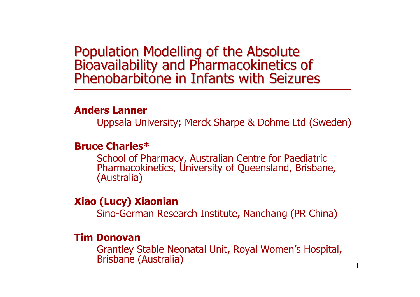# Population Modelling of the Absolute<br>Bioavailability and Pharmacokinetics of Phenobarbitone in Infants with Seizures

#### **Anders Lanner**

Uppsala University; Merck Sharpe & Dohme Ltd (Sweden)

### **Bruce Charles\***

School of Pharmacy, Australian Centre for Paediatric Pharmacokinetics, University of Queensland, Brisbane, (Australia)

### **Xiao (Lucy) Xiaonian**

Sino-German Research Institute, Nanchang (PR China)

### **Tim Donovan**

Grantley Stable Neonatal Unit, Royal Women's Hospital, Brisbane (Australia)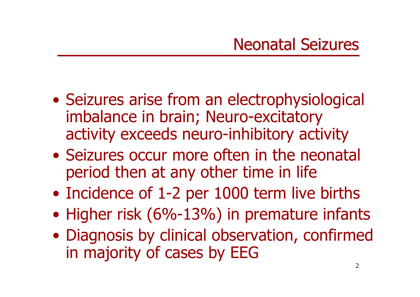- Seizures arise from an electrophysiological imbalance in brain; Neuro-excitatory activity exceeds neuro-inhibitory activity
- •Seizures occur more often in the neonatal period then at any other time in life
- Incidence of 1-2 per 1000 term live births
- Higher risk (6%-13%) in premature infants
- Diagnosis by clinical observation, confirmed in majority of cases by EEG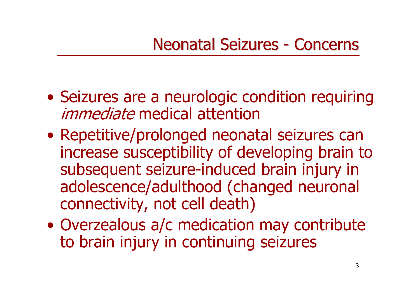- Seizures are a neurologic condition requiring *immediate* medical attention
- Repetitive/prolonged neonatal seizures can increase susceptibility of developing brain to subsequent seizure-induced brain injury in adolescence/adulthood (changed neuronal connectivity, not cell death)
- Overzealous a/c medication may contribute to brain injury in continuing seizures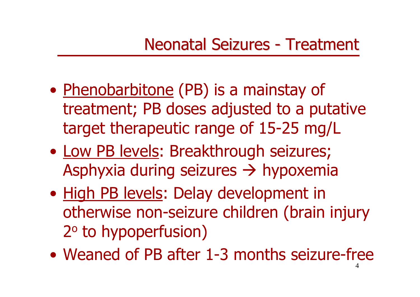#### Neonatal Seizures  $\mathcal{L}_{\mathcal{A}}$ - Treatment

- Phenobarbitone (PB) is a mainstay of treatment; PB doses adjusted to a putative target therapeutic range of 15-25 mg/L
- Low PB levels: Breakthrough seizures; Asphyxia during seizures → hypoxemia
- High PB levels: Delay development in otherwise non-seizure children (brain injury 2 <sup>o</sup> to hypoperfusion)
- 4•Weaned of PB after 1-3 months seizure-free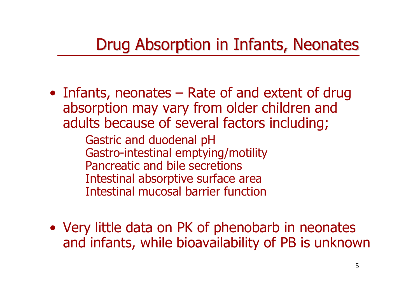# Drug Absorption in Infants, Neonates

• Infants, neonates – Rate of and extent of drug absorption may vary from older children and adults because of several factors including;

> Gastric and duodenal pH Gastro-intestinal emptying/motility Pancreatic and bile secretionsIntestinal absorptive surface area Intestinal mucosal barrier function

• Very little data on PK of phenobarb in neonates and infants, while bioavailability of PB is unknown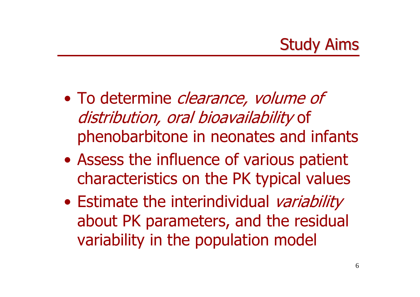- To determine *clearance, volume of* distribution, oral bioavailability of phenobarbitone in neonates and infants
- $\bullet$  Assess the influence of various patient characteristics on the PK typical values
- $\bullet$ • Estimate the interindividual variability about PK parameters, and the residual variability in the population model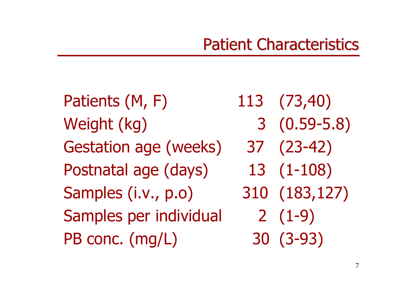Patients (M, F) Weight (kg) Gestation age (weeks) 37 (23-42) Postnatal age (days) 13 (1-108) Samples (i.v., p.o) Samples per individual PB conc. (mg/L) 30 (3-93)

(73,40) 3 (0.59-5.8) (183,127) 2 (1-9)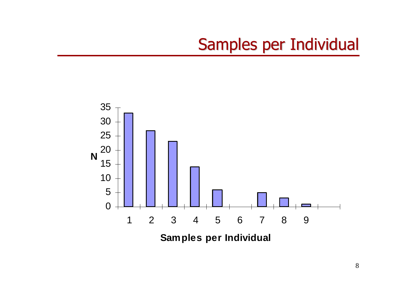# Samples per Individual

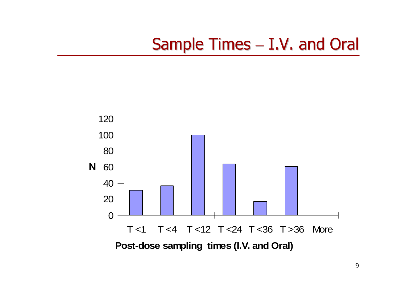#### Sample Times  $-$  I.V. and Oral

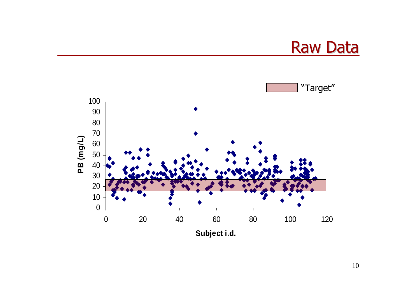

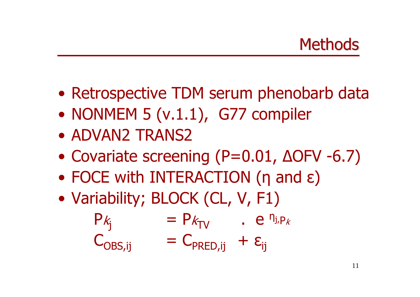- $\bullet$ • Retrospective TDM serum phenobarb data
- $\bullet$ • NONMEM 5 (v.1.1), G77 compiler
- ADVAN2 TRANS2
- $\bullet$ • Covariate screening (P=0.01, ΔOFV -6.7)
- $\bullet$ FOCE with INTERACTION (η and ε)
- $\bullet$ • Variability; BLOCK (CL, V, F1)

$$
P_{k_j} = P_{k_{TV}} \t P_{ijk}
$$
  
\n
$$
C_{OBS,ij} = C_{PRED,ij} + \varepsilon_{ij}
$$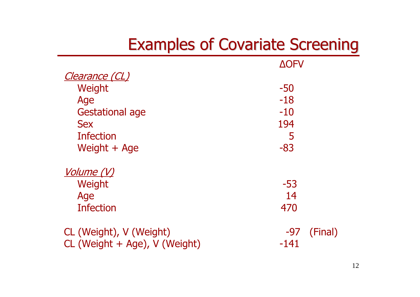### Examples of Covariate Screening Examples of Covariate Screening

|                               | <b>AOFV</b>    |
|-------------------------------|----------------|
| <u>Clearance (CL)</u>         |                |
| Weight                        | $-50$          |
| Age                           | $-18$          |
| <b>Gestational age</b>        | $-10$          |
| <b>Sex</b>                    | 194            |
| <b>Infection</b>              | 5              |
| Weight + Age                  | $-83$          |
| <u>Volume (V)</u>             |                |
| Weight                        | -53            |
| Age                           | 14             |
| <b>Infection</b>              | 470            |
| CL (Weight), V (Weight)       | (Final)<br>-97 |
| CL (Weight + Age), V (Weight) | $-141$         |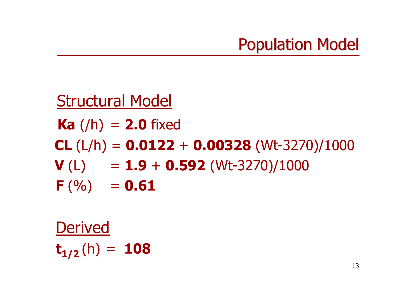

### Structural Model **Ka** (/h) <sup>=</sup>**2.0** fixed **CL** (L/h) = **0.0122** + **0.00328** (Wt-3270)/1000 **V** (L) = **1.9** + **0.592** (Wt-3270)/1000 **F** (%) = **0.61**

Derived  $\mathbf{t_{1/2}}\left(\mathsf{h}\right)$ = **108**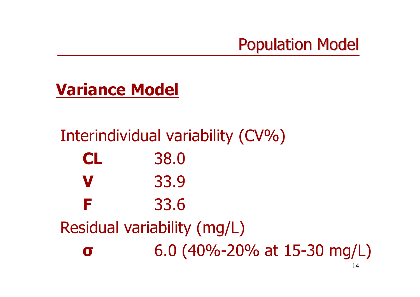

# **Variance Model**

### Interindividual variability (CV%) **CL** 38.0 **V** 33.9 **F** 33.6 Residual variability (mg/L) **σ**6.0 (40%-20% at 15-30 mg/L)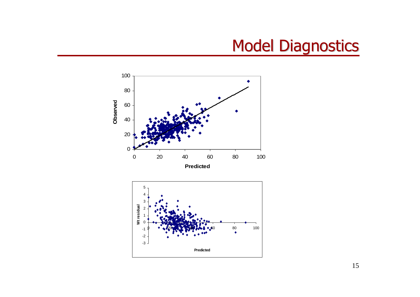# **Model Diagnostics**



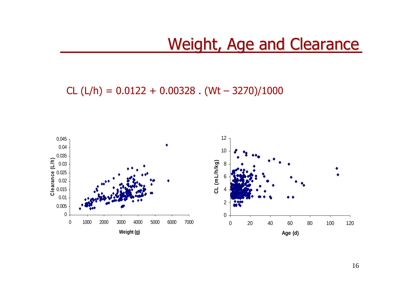### Weight, Age and Clearance

CL (L/h) = 0.0122 + 0.00328 . (Wt – 3270)/1000

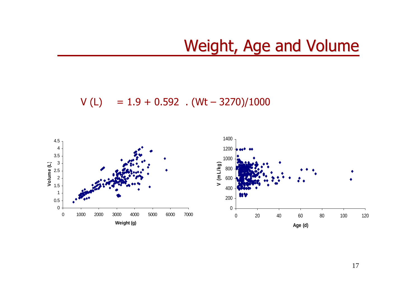# Weight, Age and Volume

V (L) = 1.9 + 0.592 . (Wt – 3270)/1000

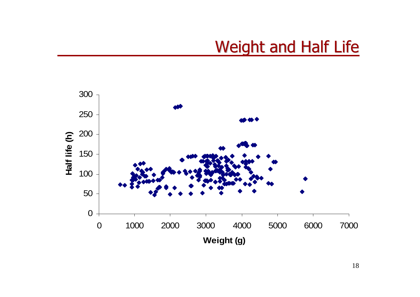# Weight and Half Life

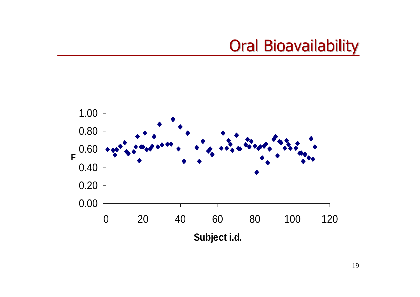# **Oral Bioavailability**

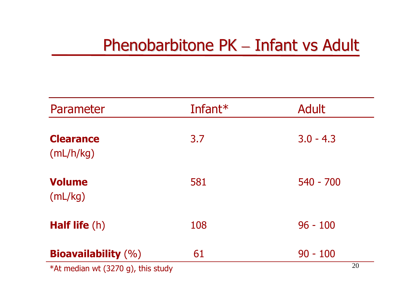# Phenobarbitone PK – Infant vs Adult

| Parameter                          | Infant* | <b>Adult</b>     |
|------------------------------------|---------|------------------|
| <b>Clearance</b><br>(mL/h/kg)      | 3.7     | $3.0 - 4.3$      |
| <b>Volume</b><br>(mL/kg)           | 581     | $540 - 700$      |
| <b>Half life (h)</b>               | 108     | $96 - 100$       |
| <b>Bioavailability</b> $(\%)$      | 61      | $90 - 100$<br>20 |
| *At median wt (3270 g), this study |         |                  |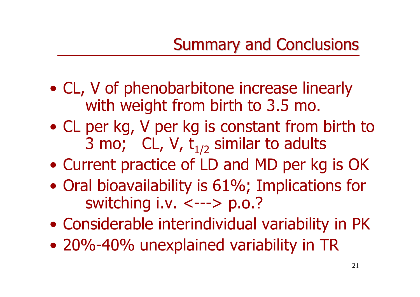- CL, V of phenobarbitone increase linearly with weight from birth to 3.5 mo.
- CL per kg, V per kg is constant from birth to 3 mo; CL, V,  $t_{1/2}$  similar to adults
- Current practice of LD and MD per kg is OK
- Oral bioavailability is 61%; Implications for switching i.v. <---> p.o.?
- Considerable interindividual variability in PK
- 20%-40% unexplained variability in TR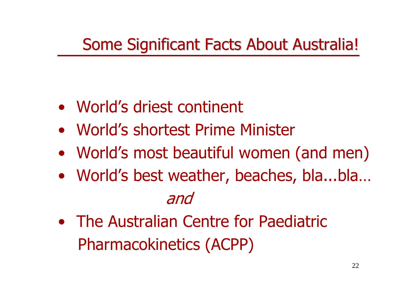# Some Significant Facts About Australia!

- •World's driest continent
- •World's shortest Prime Minister
- World's most beautiful women (and men)
- World's best weather, beaches, bla...bla… and
- •The Australian Centre for PaediatricPharmacokinetics (ACPP)